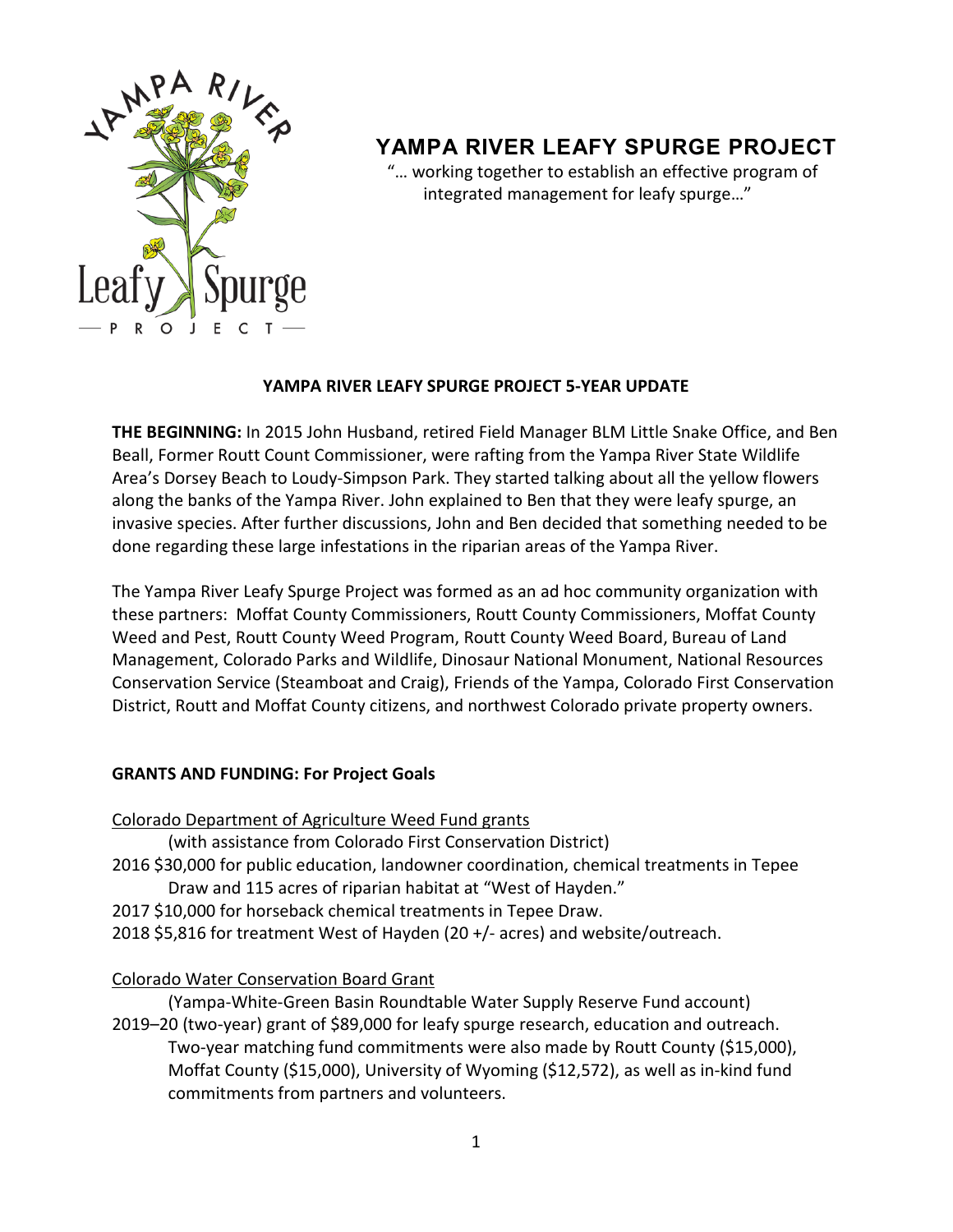

# **YAMPA RIVER LEAFY SPURGE PROJECT**

 "… working together to establish an effective program of integrated management for leafy spurge…"

## **YAMPA RIVER LEAFY SPURGE PROJECT 5-YEAR UPDATE**

**THE BEGINNING:** In 2015 John Husband, retired Field Manager BLM Little Snake Office, and Ben Beall, Former Routt Count Commissioner, were rafting from the Yampa River State Wildlife Area's Dorsey Beach to Loudy-Simpson Park. They started talking about all the yellow flowers along the banks of the Yampa River. John explained to Ben that they were leafy spurge, an invasive species. After further discussions, John and Ben decided that something needed to be done regarding these large infestations in the riparian areas of the Yampa River.

The Yampa River Leafy Spurge Project was formed as an ad hoc community organization with these partners: Moffat County Commissioners, Routt County Commissioners, Moffat County Weed and Pest, Routt County Weed Program, Routt County Weed Board, Bureau of Land Management, Colorado Parks and Wildlife, Dinosaur National Monument, National Resources Conservation Service (Steamboat and Craig), Friends of the Yampa, Colorado First Conservation District, Routt and Moffat County citizens, and northwest Colorado private property owners.

# **GRANTS AND FUNDING: For Project Goals**

| Colorado Department of Agriculture Weed Fund grants                                      |
|------------------------------------------------------------------------------------------|
| (with assistance from Colorado First Conservation District)                              |
| 2016 \$30,000 for public education, landowner coordination, chemical treatments in Tepee |
| Draw and 115 acres of riparian habitat at "West of Hayden."                              |
| 2017 \$10,000 for horseback chemical treatments in Tepee Draw.                           |
| 2018 \$5,816 for treatment West of Hayden (20 +/- acres) and website/outreach.           |
| <b>Colorado Water Conservation Board Grant</b>                                           |
| (Yampa-White-Green Basin Roundtable Water Supply Reserve Fund account)                   |
|                                                                                          |

2019–20 (two-year) grant of \$89,000 for leafy spurge research, education and outreach. Two-year matching fund commitments were also made by Routt County (\$15,000), Moffat County (\$15,000), University of Wyoming (\$12,572), as well as in-kind fund commitments from partners and volunteers.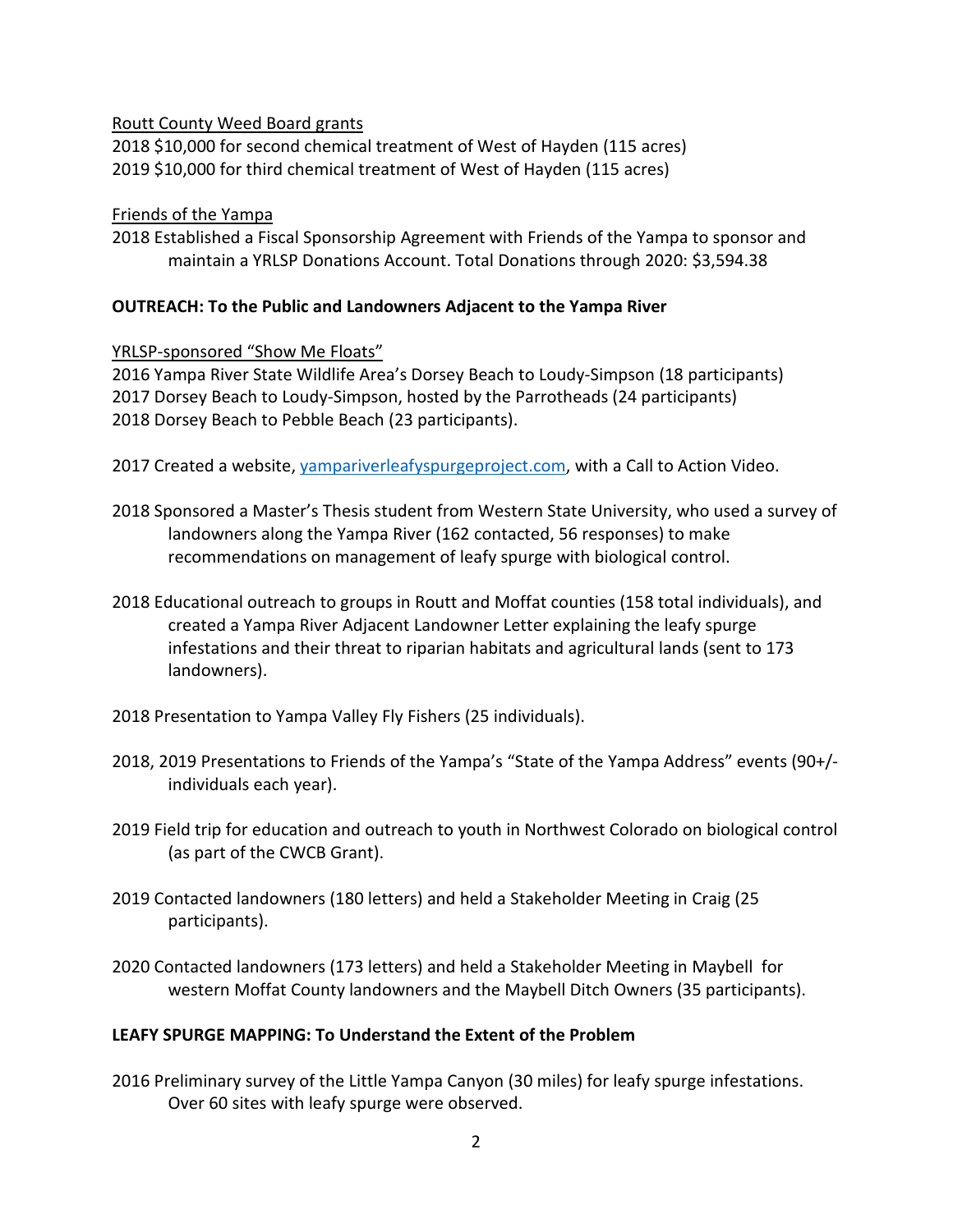#### Routt County Weed Board grants

2018 \$10,000 for second chemical treatment of West of Hayden (115 acres) 2019 \$10,000 for third chemical treatment of West of Hayden (115 acres)

#### Friends of the Yampa

2018 Established a Fiscal Sponsorship Agreement with Friends of the Yampa to sponsor and maintain a YRLSP Donations Account. Total Donations through 2020: \$3,594.38

## **OUTREACH: To the Public and Landowners Adjacent to the Yampa River**

## YRLSP-sponsored "Show Me Floats"

2016 Yampa River State Wildlife Area's Dorsey Beach to Loudy-Simpson (18 participants) 2017 Dorsey Beach to Loudy-Simpson, hosted by the Parrotheads (24 participants) 2018 Dorsey Beach to Pebble Beach (23 participants).

- 2017 Created a website, [yampariverleafyspurgeproject.com,](https://www.yampariverleafyspurgeproject.com/) with a Call to Action Video.
- 2018 Sponsored a Master's Thesis student from Western State University, who used a survey of landowners along the Yampa River (162 contacted, 56 responses) to make recommendations on management of leafy spurge with biological control.
- 2018 Educational outreach to groups in Routt and Moffat counties (158 total individuals), and created a Yampa River Adjacent Landowner Letter explaining the leafy spurge infestations and their threat to riparian habitats and agricultural lands (sent to 173 landowners).
- 2018 Presentation to Yampa Valley Fly Fishers (25 individuals).
- 2018, 2019 Presentations to Friends of the Yampa's "State of the Yampa Address" events (90+/ individuals each year).
- 2019 Field trip for education and outreach to youth in Northwest Colorado on biological control (as part of the CWCB Grant).
- 2019 Contacted landowners (180 letters) and held a Stakeholder Meeting in Craig (25 participants).
- 2020 Contacted landowners (173 letters) and held a Stakeholder Meeting in Maybell for western Moffat County landowners and the Maybell Ditch Owners (35 participants).

# **LEAFY SPURGE MAPPING: To Understand the Extent of the Problem**

2016 Preliminary survey of the Little Yampa Canyon (30 miles) for leafy spurge infestations. Over 60 sites with leafy spurge were observed.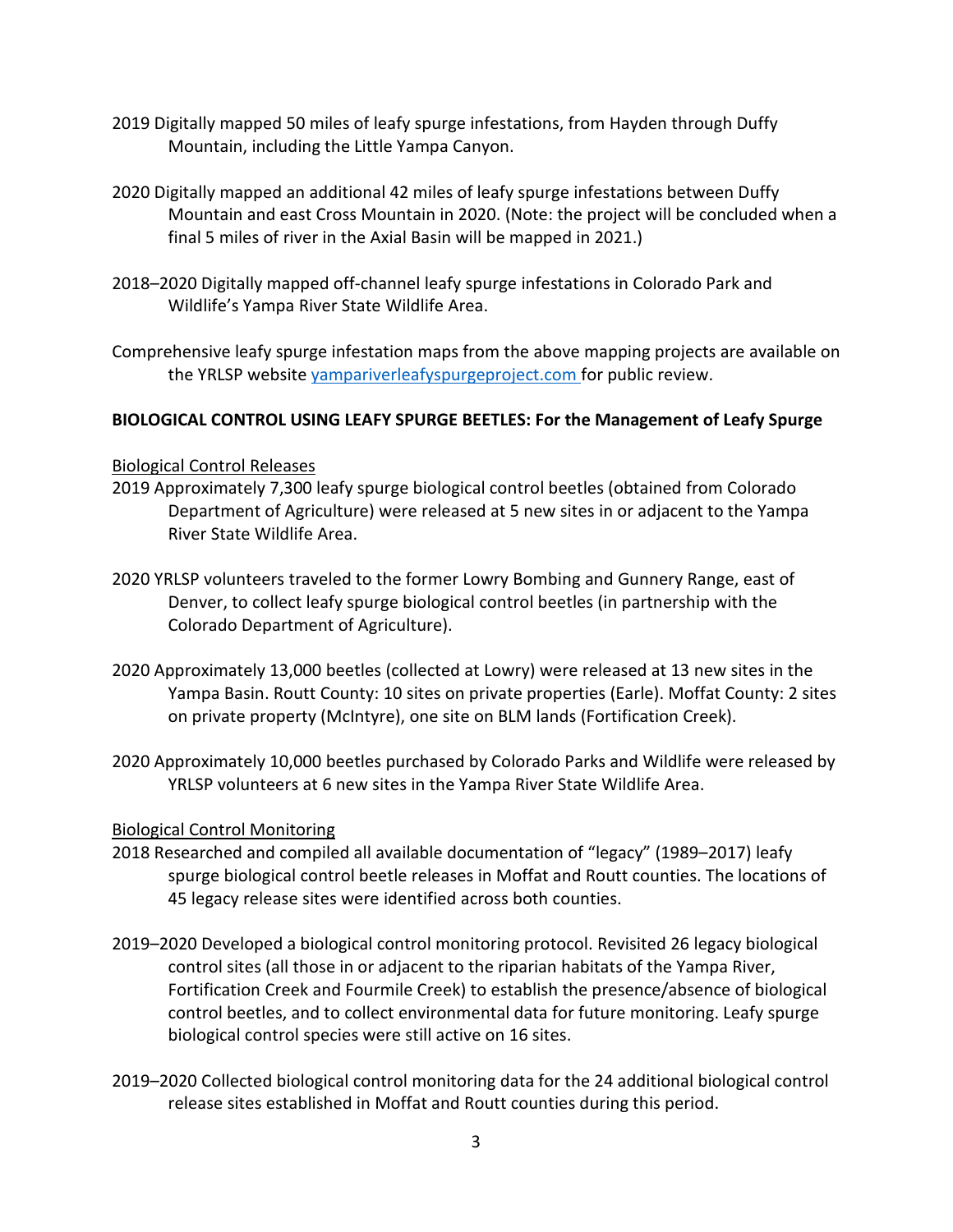- 2019 Digitally mapped 50 miles of leafy spurge infestations, from Hayden through Duffy Mountain, including the Little Yampa Canyon.
- 2020 Digitally mapped an additional 42 miles of leafy spurge infestations between Duffy Mountain and east Cross Mountain in 2020. (Note: the project will be concluded when a final 5 miles of river in the Axial Basin will be mapped in 2021.)
- 2018–2020 Digitally mapped off-channel leafy spurge infestations in Colorado Park and Wildlife's Yampa River State Wildlife Area.
- Comprehensive leafy spurge infestation maps from the above mapping projects are available on the YRLSP website [yampariverleafyspurgeproject.com](https://www.yampariverleafyspurgeproject.com/) for public review.

# **BIOLOGICAL CONTROL USING LEAFY SPURGE BEETLES: For the Management of Leafy Spurge**

#### Biological Control Releases

- 2019 Approximately 7,300 leafy spurge biological control beetles (obtained from Colorado Department of Agriculture) were released at 5 new sites in or adjacent to the Yampa River State Wildlife Area.
- 2020 YRLSP volunteers traveled to the former Lowry Bombing and Gunnery Range, east of Denver, to collect leafy spurge biological control beetles (in partnership with the Colorado Department of Agriculture).
- 2020 Approximately 13,000 beetles (collected at Lowry) were released at 13 new sites in the Yampa Basin. Routt County: 10 sites on private properties (Earle). Moffat County: 2 sites on private property (McIntyre), one site on BLM lands (Fortification Creek).
- 2020 Approximately 10,000 beetles purchased by Colorado Parks and Wildlife were released by YRLSP volunteers at 6 new sites in the Yampa River State Wildlife Area.

#### Biological Control Monitoring

- 2018 Researched and compiled all available documentation of "legacy" (1989–2017) leafy spurge biological control beetle releases in Moffat and Routt counties. The locations of 45 legacy release sites were identified across both counties.
- 2019–2020 Developed a biological control monitoring protocol. Revisited 26 legacy biological control sites (all those in or adjacent to the riparian habitats of the Yampa River, Fortification Creek and Fourmile Creek) to establish the presence/absence of biological control beetles, and to collect environmental data for future monitoring. Leafy spurge biological control species were still active on 16 sites.
- 2019–2020 Collected biological control monitoring data for the 24 additional biological control release sites established in Moffat and Routt counties during this period.